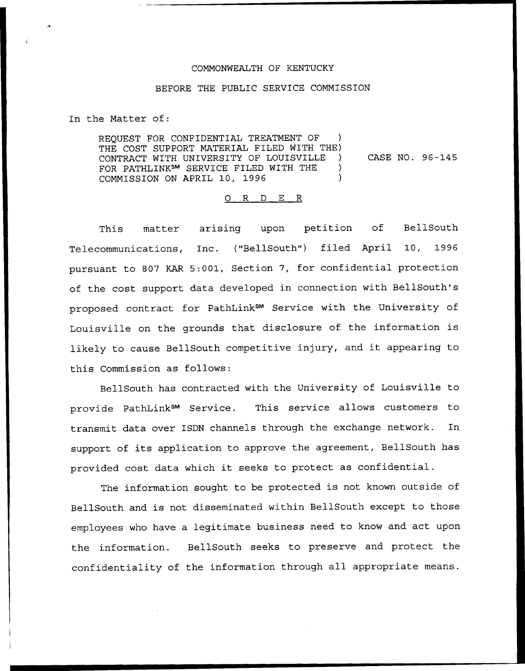## COMMONWEALTH OF KENTUCKY

## BEFORE THE PUBLIC SERVICE COMMISSION

In the Matter of:

REQUEST FOR CONFIDENTIAL TREATMENT OF THE COST SUPPORT MATERIAL FILED WITH THE) CONTRACT WITH UNIVERSITY OF LOUISVILLE FOR PATHLINKsM SERVICE FILED WITH THE COMMISSION ON APRIL 10, 1996 CASE NO. 96 —145

## 0 R <sup>D</sup> E R

This matter arising upon petition of BellSouth Telecommunications, Inc. ("BellSouth") filed April 10, 1996 pursuant to 807 KAR 5:001, Section 7, for confidential protection of the cost support data developed in connection with BellSouth's proposed contract for PathLink<sup>SM</sup> Service with the University of Louisville on the grounds that disclosure of the information is likely to cause BellSouth competitive injury, and it appearing to this Commission as follows:

BellSouth has contracted with the University of Louisville to provide PathLink<sup>SM</sup> Service. This service allows customers to transmit data over ISDN channels through the exchange network. In support of its application to approve the agreement, BellSouth has provided cost data which it seeks to protect as confidential.

The information sought to be protected is not known outside of BellSouth and is not disseminated within BellSouth except to those employees who have a legitimate business need to know and act upon the information. BellSouth seeks to preserve and protect the confidentiality of the information through all appropriate means.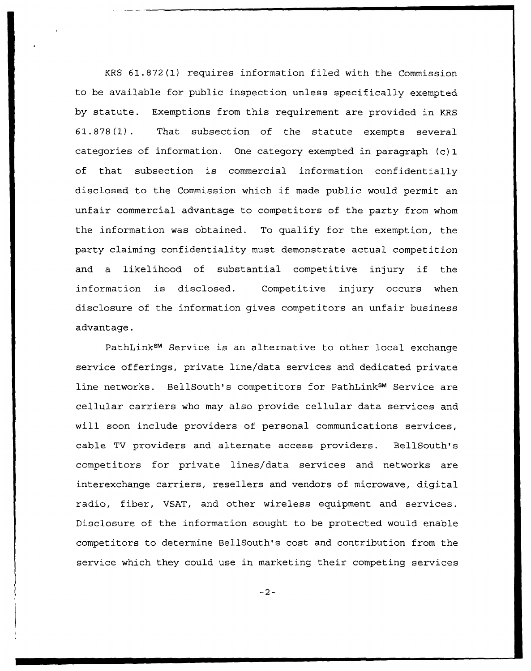KRS 61.872(1) requires information filed with the Commission to be available for public inspection unless specifically exempted by statute. Exemptions from this requirement are provided in KRS 61.878(1). That subsection of the statute exempts several categories of information. One category exempted in paragraph (c) 1 of that subsection is commercial information confidentially disclosed to the Commission which if made public would permit an unfair commercial advantage to competitors of the party from whom the information was obtained. To qualify for the exemption, the party claiming confidentiality must demonstrate actual competition and <sup>a</sup> likelihood of substantial competitive injury if the information is disclosed. Competitive injury occurs when disclosure of the information gives competitors an unfair business advantage.

PathLink<sup>SM</sup> Service is an alternative to other local exchange service offerings, private line/data services and dedicated private line networks. BellSouth's competitors for PathLink<sup>SM</sup> Service are cellular carriers who may also provide cellular data services and will soon include providers of personal communications services, cable TV providers and alternate access providers. BellSouth's competitors for private lines/data services and networks are interexchange carriers, resellers and vendors of microwave, digital radio, fiber, VSAT, and other wireless equipment and services. Disclosure of the information sought to be protected would enable competitors to determine BellSouth's cost and contribution from the service which they could use in marketing their competing services

 $-2-$